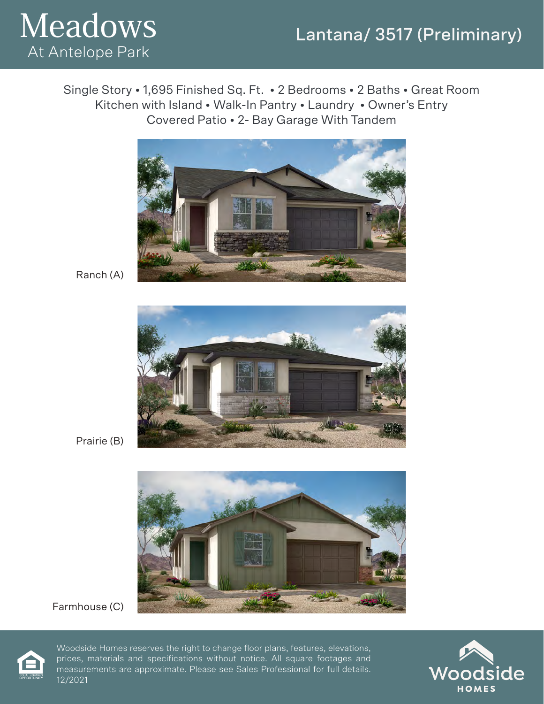#### Lantana/ 3517 (Preliminary)



Single Story • 1,695 Finished Sq. Ft. • 2 Bedrooms • 2 Baths • Great Room Kitchen with Island • Walk-In Pantry • Laundry • Owner's Entry Covered Patio • 2- Bay Garage With Tandem



Ranch (A)



Prairie (B)



Farmhouse (C)



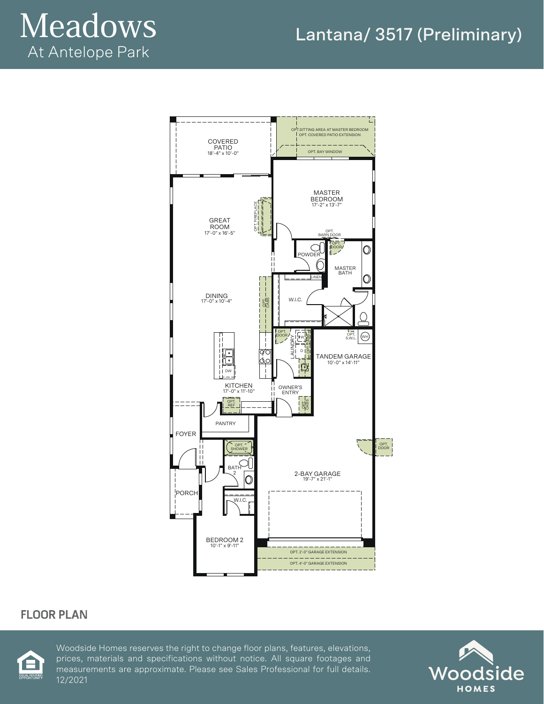# Meadows At Antelope Park



#### **FLOOR PLAN**



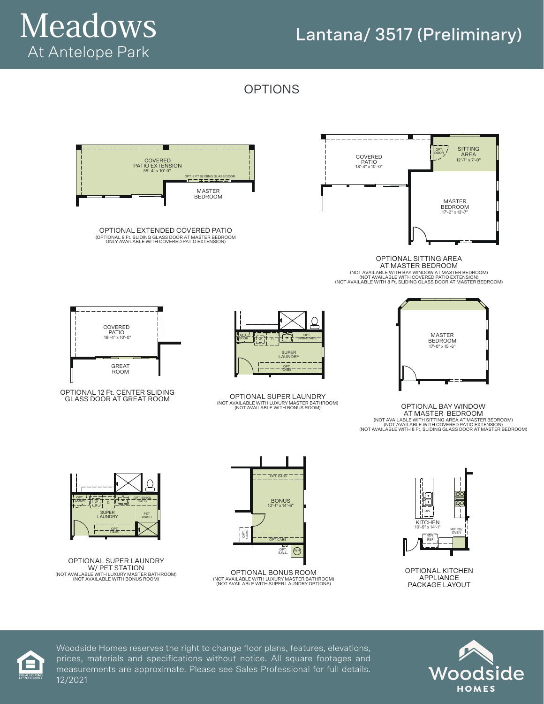### Lantana/ 3517 (Preliminary)



OPTIONS







OPTIONAL BAY WINDOW AT MASTER BEDROOM (NOT AVAILABLE WITH SITTING AREA AT MASTER BEDROOM)<br>(NOT AVAILABLE WITH 8 Ft. SLIDING GLASS DOOR AT MASTER BEDROOM)<br>(NOT AVAILABLE WITH 8 Ft. SLIDING GLASS DOOR AT MASTER BEDROOM)



OPTIONAL KITCHEN APPLIANCE PACKAGE LAYOUT





OPTIONAL EXTENDED COVERED PATIO (OPTIONAL 8 Ft. SLIDING GLASS DOOR AT MASTER BEDROOM ONLY AVAILABLE WITH COVERED PATIO EXTENSION)



OPTIONAL 12 Ft. CENTER SLIDING GLASS DOOR AT GREAT ROOM

GREAT ROOM

COVERED PATIO 18'-4" x 10'-0"



OPTIONAL SUPER LAUNDRY

(NOT AVAILABLE WITH LUXURY MASTER BATHROOM) (NOT AVAILABLE WITH BONUS ROOM)

SUPER LAUNDRY  $-$ CABS

 $\overline{W}$  ,  $\overline{H}$  of  $\overline{H}$   $\overline{L}$  of  $\overline{L}$  in  $\overline{S}$  in  $K$  accabis

OPT.

OPTIONAL BONUS ROOM (NOT AVAILABLE WITH LUXURY MASTER BATHROOM) (NOT AVAILABLE WITH SUPER LAUNDRY OPTIONS)



OPTIONAL SUPER LAUNDRY W/ PET STATION (NOT AVAILABLE WITH LUXURY MASTER BATHROOM) (NOT AVAILABLE WITH BONUS ROOM)